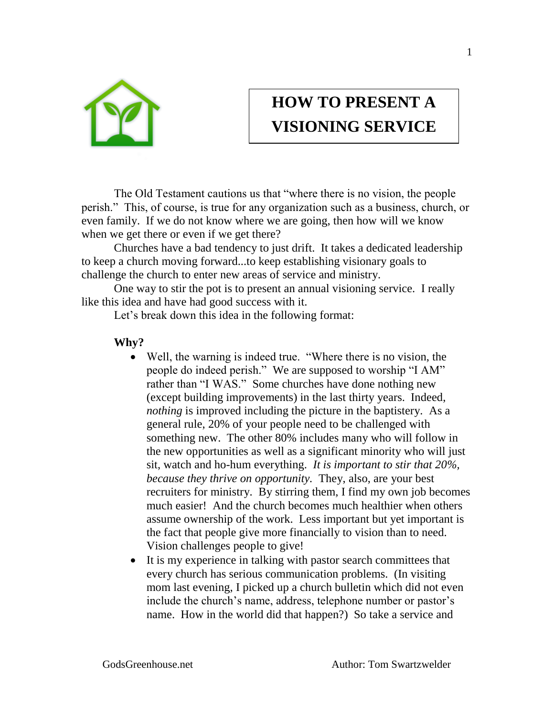

## **HOW TO PRESENT A VISIONING SERVICE**

The Old Testament cautions us that "where there is no vision, the people perish." This, of course, is true for any organization such as a business, church, or even family. If we do not know where we are going, then how will we know when we get there or even if we get there?

Churches have a bad tendency to just drift. It takes a dedicated leadership to keep a church moving forward...to keep establishing visionary goals to challenge the church to enter new areas of service and ministry.

One way to stir the pot is to present an annual visioning service. I really like this idea and have had good success with it.

Let's break down this idea in the following format:

## **Why?**

- Well, the warning is indeed true. "Where there is no vision, the people do indeed perish." We are supposed to worship "I AM" rather than "I WAS." Some churches have done nothing new (except building improvements) in the last thirty years. Indeed, *nothing* is improved including the picture in the baptistery. As a general rule, 20% of your people need to be challenged with something new. The other 80% includes many who will follow in the new opportunities as well as a significant minority who will just sit, watch and ho-hum everything. *It is important to stir that 20%, because they thrive on opportunity.* They, also, are your best recruiters for ministry. By stirring them, I find my own job becomes much easier! And the church becomes much healthier when others assume ownership of the work. Less important but yet important is the fact that people give more financially to vision than to need. Vision challenges people to give!
- It is my experience in talking with pastor search committees that every church has serious communication problems. (In visiting mom last evening, I picked up a church bulletin which did not even include the church's name, address, telephone number or pastor's name. How in the world did that happen?) So take a service and

1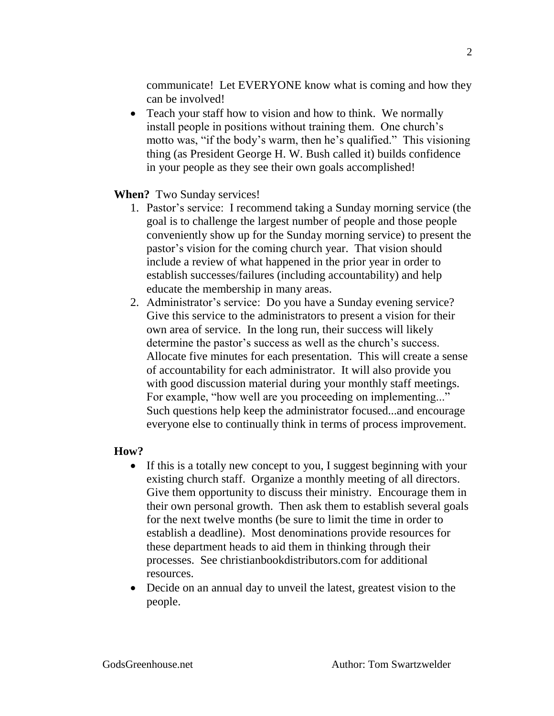communicate! Let EVERYONE know what is coming and how they can be involved!

• Teach your staff how to vision and how to think. We normally install people in positions without training them. One church's motto was, "if the body's warm, then he's qualified." This visioning thing (as President George H. W. Bush called it) builds confidence in your people as they see their own goals accomplished!

## **When?** Two Sunday services!

- 1. Pastor's service: I recommend taking a Sunday morning service (the goal is to challenge the largest number of people and those people conveniently show up for the Sunday morning service) to present the pastor's vision for the coming church year. That vision should include a review of what happened in the prior year in order to establish successes/failures (including accountability) and help educate the membership in many areas.
- 2. Administrator's service: Do you have a Sunday evening service? Give this service to the administrators to present a vision for their own area of service. In the long run, their success will likely determine the pastor's success as well as the church's success. Allocate five minutes for each presentation. This will create a sense of accountability for each administrator. It will also provide you with good discussion material during your monthly staff meetings. For example, "how well are you proceeding on implementing..." Such questions help keep the administrator focused...and encourage everyone else to continually think in terms of process improvement.

## **How?**

- If this is a totally new concept to you, I suggest beginning with your existing church staff. Organize a monthly meeting of all directors. Give them opportunity to discuss their ministry. Encourage them in their own personal growth. Then ask them to establish several goals for the next twelve months (be sure to limit the time in order to establish a deadline). Most denominations provide resources for these department heads to aid them in thinking through their processes. See christianbookdistributors.com for additional resources.
- Decide on an annual day to unveil the latest, greatest vision to the people.